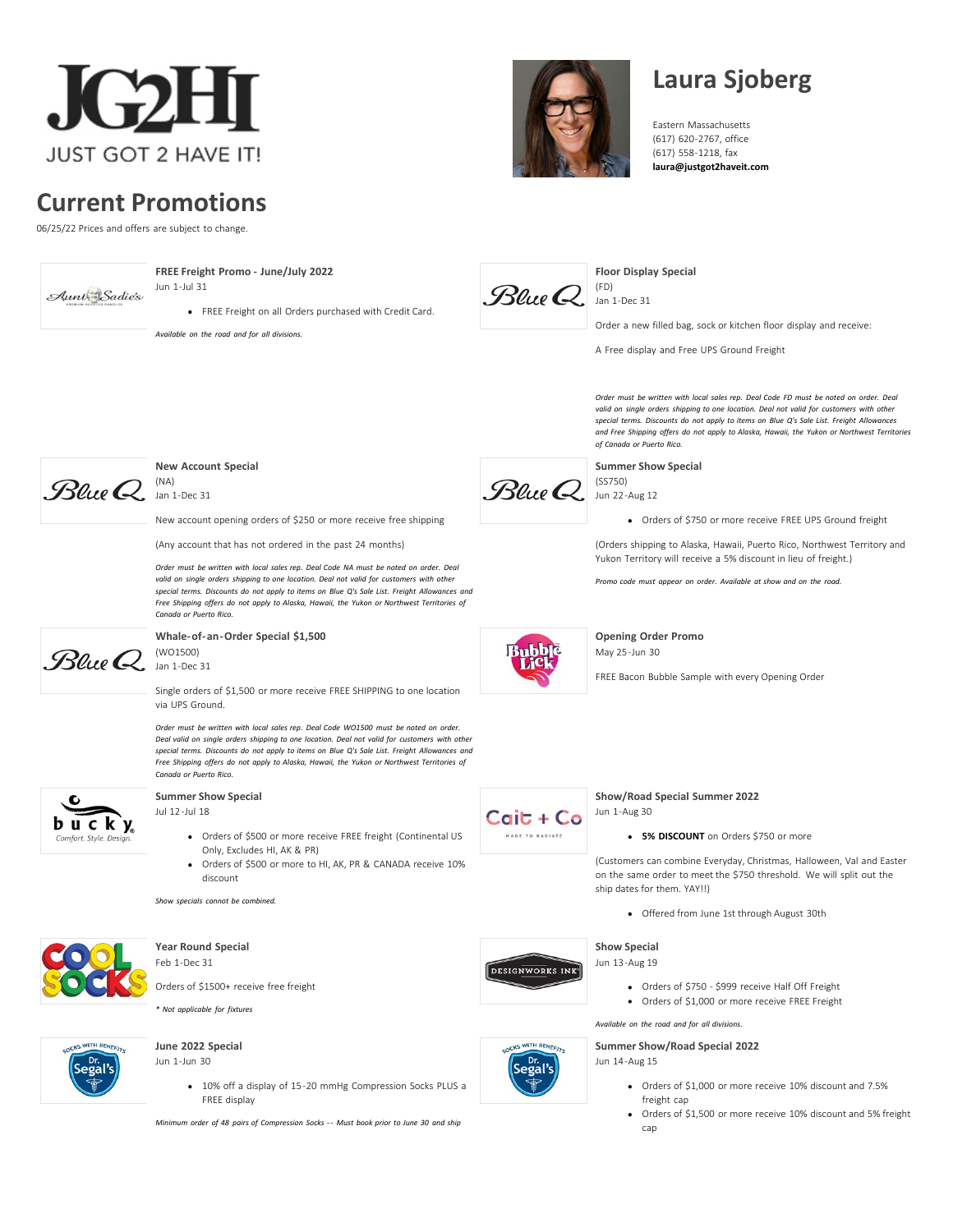

# **Current Promotions**

06/25/22 Prices and offers are subject to change.



**[FREE Freight Promo - June/July 2022](https://www.justgot2haveit.com/lines/aunt-sadies-inc/)**

Jun 1-Jul 31

*Available on the road and for all divisions.*

FREE Freight on all Orders purchased with Credit Card.



# **Laura Sjoberg**

Eastern Massachusetts (617) 620-2767, office (617) 558-1218, fax **[laura@justgot2haveit.com](https://www.justgot2haveit.com/cdn-cgi/l/email-protection#80ece1f5f2e1c0eaf5f3f4e7eff4b2e8e1f6e5e9f4aee3efed)**



**[Floor Display Special](https://www.justgot2haveit.com/lines/blue-q/)**

Order a new filled bag, sock or kitchen floor display and receive:

A Free display and Free UPS Ground Freight

*Order must be written with local sales rep. Deal Code FD must be noted on order. Deal valid on single orders shipping to one location. Deal not valid for customers with other special terms. Discounts do not apply to items on Blue Q's Sale List. Freight Allowances and Free Shipping offers do not apply to Alaska, Hawaii, the Yukon or Northwest Territories of Canada or Puerto Rico.*

**[Summer Show Special](https://www.justgot2haveit.com/lines/blue-q/)** (SS750) Jun 22-Aug 12

Orders of \$750 or more receive FREE UPS Ground freight

(Orders shipping to Alaska, Hawaii, Puerto Rico, Northwest Territory and Yukon Territory will receive a 5% discount in lieu of freight.)

*Promo code must appear on order. Available at show and on the road.*



**[Opening Order Promo](https://www.justgot2haveit.com/lines/bubblelick/)** May 25-Jun 30

FREE Bacon Bubble Sample with every Opening Order



**DESIGNWORKS INK** 

COCKS WITH BENEFITS

Dr.<br>Segal's

**[Show/Road Special Summer 2022](https://www.justgot2haveit.com/lines/cait-co/)** Jun 1-Aug 30

**5% DISCOUNT** on Orders \$750 or more

(Customers can combine Everyday, Christmas, Halloween, Val and Easter on the same order to meet the \$750 threshold. We will split out the ship dates for them. YAY!!)

Offered from June 1st through August 30th

#### **[Show Special](https://www.justgot2haveit.com/lines/designworks-ink/)**

Jun 13-Aug 19

- Orders of \$750 \$999 receive Half Off Freight Orders of \$1,000 or more receive FREE Freight
- *Available on the road and for all divisions.*

**[Summer Show/Road Special 2022](https://www.justgot2haveit.com/lines/dr-segals/)**

Jun 14-Aug 15

- Orders of \$1,000 or more receive 10% discount and 7.5% freight cap
- Orders of \$1,500 or more receive 10% discount and 5% freight cap



# **[New Account Special](https://www.justgot2haveit.com/lines/blue-q/)**

New account opening orders of \$250 or more receive free shipping

(Any account that has not ordered in the past 24 months)

*Order must be written with local sales rep. Deal Code NA must be noted on order. Deal valid on single orders shipping to one location. Deal not valid for customers with other special terms. Discounts do not apply to items on Blue Q's Sale List. Freight Allowances and Free Shipping offers do not apply to Alaska, Hawaii, the Yukon or Northwest Territories of Canada or Puerto Rico.*



**[Whale-of-an-Order Special \\$1,500](https://www.justgot2haveit.com/lines/blue-q/)** (WO1500) Jan 1-Dec 31

Single orders of \$1,500 or more receive FREE SHIPPING to one location via UPS Ground.

*Order must be written with local sales rep. Deal Code WO1500 must be noted on order. Deal valid on single orders shipping to one location. Deal not valid for customers with other special terms. Discounts do not apply to items on Blue Q's Sale List. Freight Allowances and Free Shipping offers do not apply to Alaska, Hawaii, the Yukon or Northwest Territories of Canada or Puerto Rico.*



### **[Summer Show Special](https://www.justgot2haveit.com/lines/bucky/)** Jul 12-Jul 18

- Orders of \$500 or more receive FREE freight (Continental US Only, Excludes HI, AK & PR)
- Orders of \$500 or more to HI, AK, PR & CANADA receive 10% discount

*Show specials cannot be combined.*



### **[Year Round Special](https://www.justgot2haveit.com/lines/cool-socks/)** Feb 1-Dec 31

Orders of \$1500+ receive free freight

*\* Not applicable for fixtures*



# **[June 2022 Special](https://www.justgot2haveit.com/lines/dr-segals/)**

# Jun 1-Jun 30

10% off a display of 15-20 mmHg Compression Socks PLUS a FREE display

*Minimum order of 48 pairs of Compression Socks - - Must book prior to June 30 and ship*

 $B$ lue  $Q$ 

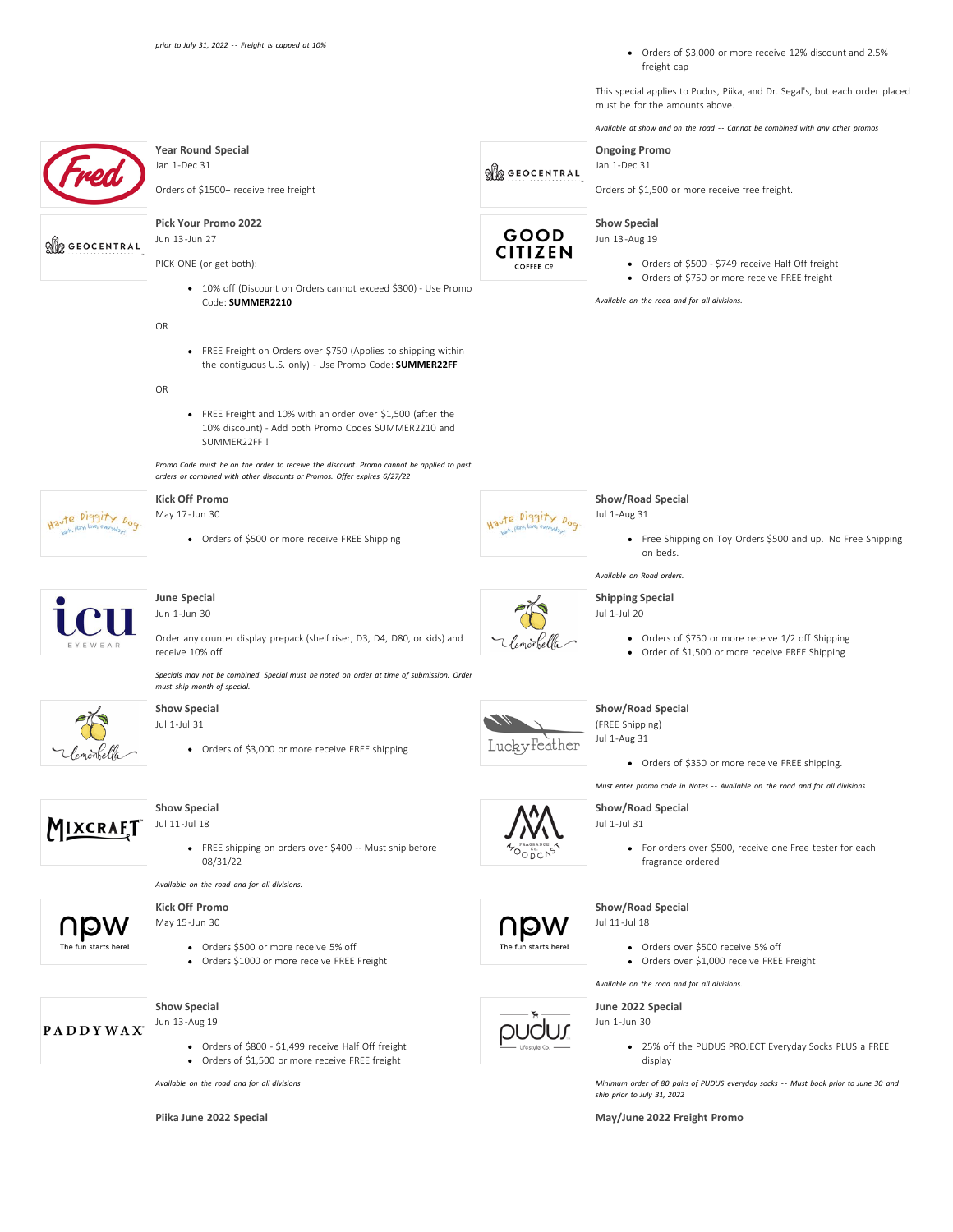Orders of \$3,000 or more receive 12% discount and 2.5% freight cap

This special applies to Pudus, Piika, and Dr. Segal's, but each order placed must be for the amounts above.

*Available at show and on the road - - Cannot be combined with any other promos*



**[Piika June 2022 Special](https://www.justgot2haveit.com/lines/pudus/) [May/June 2022 Freight Promo](https://www.justgot2haveit.com/lines/puffin-drinkwear/)**